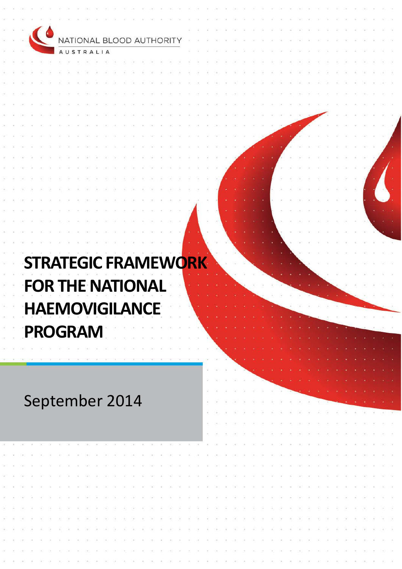| $\blacksquare$<br>NATIONAL BLOOD AUTHORITY |   |  |  |  |  |  |
|--------------------------------------------|---|--|--|--|--|--|
| <b>AUSTRALIA</b>                           |   |  |  |  |  |  |
|                                            |   |  |  |  |  |  |
|                                            |   |  |  |  |  |  |
|                                            |   |  |  |  |  |  |
|                                            |   |  |  |  |  |  |
|                                            |   |  |  |  |  |  |
|                                            |   |  |  |  |  |  |
|                                            |   |  |  |  |  |  |
|                                            |   |  |  |  |  |  |
|                                            |   |  |  |  |  |  |
|                                            |   |  |  |  |  |  |
|                                            |   |  |  |  |  |  |
|                                            |   |  |  |  |  |  |
|                                            |   |  |  |  |  |  |
|                                            |   |  |  |  |  |  |
|                                            |   |  |  |  |  |  |
|                                            |   |  |  |  |  |  |
|                                            |   |  |  |  |  |  |
|                                            |   |  |  |  |  |  |
|                                            |   |  |  |  |  |  |
| <b>STRATEGIC FRAMEWORK</b>                 |   |  |  |  |  |  |
|                                            |   |  |  |  |  |  |
| <b>FOR THE NATIONAL</b>                    |   |  |  |  |  |  |
|                                            |   |  |  |  |  |  |
| ЛC<br><b>HALMUVIGILANCL</b>                |   |  |  |  |  |  |
|                                            |   |  |  |  |  |  |
| <b>PROGRAM</b>                             |   |  |  |  |  |  |
|                                            |   |  |  |  |  |  |
|                                            |   |  |  |  |  |  |
|                                            | ÷ |  |  |  |  |  |
|                                            |   |  |  |  |  |  |
|                                            |   |  |  |  |  |  |
| September 2014                             |   |  |  |  |  |  |
|                                            |   |  |  |  |  |  |
|                                            |   |  |  |  |  |  |
|                                            |   |  |  |  |  |  |
|                                            |   |  |  |  |  |  |
|                                            |   |  |  |  |  |  |
|                                            |   |  |  |  |  |  |
|                                            |   |  |  |  |  |  |
|                                            |   |  |  |  |  |  |
|                                            |   |  |  |  |  |  |
|                                            |   |  |  |  |  |  |
|                                            |   |  |  |  |  |  |
|                                            |   |  |  |  |  |  |
|                                            |   |  |  |  |  |  |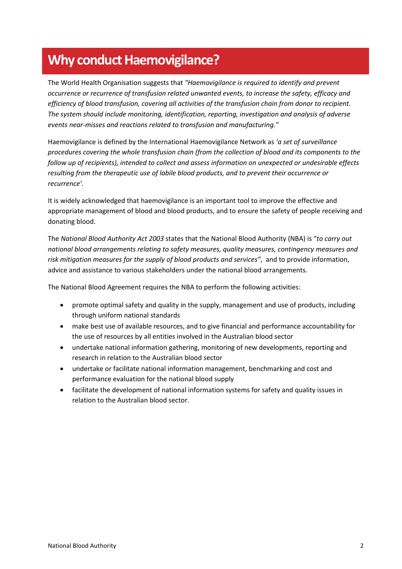## **Why conduct Haemovigilance?**

The World Health Organisation suggests that *"Haemovigilance is required to identify and prevent occurrence or recurrence of transfusion related unwanted events, to increase the safety, efficacy and efficiency of blood transfusion, covering all activities of the transfusion chain from donor to recipient. The system should include monitoring, identification, reporting, investigation and analysis of adverse events near-misses and reactions related to transfusion and manufacturing."*

Haemovigilance is defined by the International Haemovigilance Network as *'a set of surveillance procedures covering the whole transfusion chain (from the collection of blood and its components to the follow up of recipients), intended to collect and assess information on unexpected or undesirable effects resulting from the therapeutic use of labile blood products, and to prevent their occurrence or recurrence'.* 

It is widely acknowledged that haemovigilance is an important tool to improve the effective and appropriate management of blood and blood products, and to ensure the safety of people receiving and donating blood.

The *National Blood Authority Act 2003* states that the National Blood Authority (NBA) is "*to carry out national blood arrangements relating to safety measures, quality measures, contingency measures and risk mitigation measures for the supply of blood products and services"*, and to provide information, advice and assistance to various stakeholders under the national blood arrangements.

The National Blood Agreement requires the NBA to perform the following activities:

- promote optimal safety and quality in the supply, management and use of products, including through uniform national standards
- make best use of available resources, and to give financial and performance accountability for the use of resources by all entities involved in the Australian blood sector
- undertake national information gathering, monitoring of new developments, reporting and research in relation to the Australian blood sector
- undertake or facilitate national information management, benchmarking and cost and performance evaluation for the national blood supply
- facilitate the development of national information systems for safety and quality issues in relation to the Australian blood sector.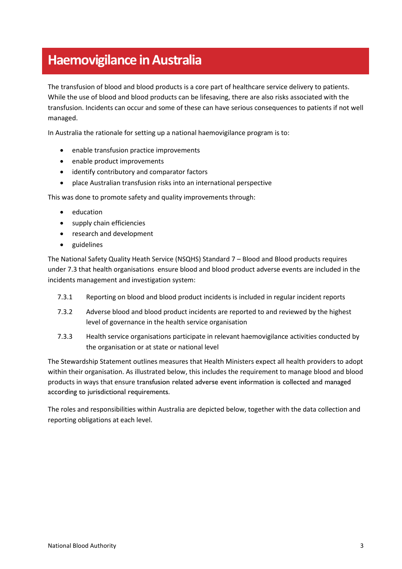## **Haemovigilance in Australia**

The transfusion of blood and blood products is a core part of healthcare service delivery to patients. While the use of blood and blood products can be lifesaving, there are also risks associated with the transfusion. Incidents can occur and some of these can have serious consequences to patients if not well managed.

In Australia the rationale for setting up a national haemovigilance program is to:

- enable transfusion practice improvements
- enable product improvements
- identify contributory and comparator factors
- place Australian transfusion risks into an international perspective

This was done to promote safety and quality improvements through:

- education
- supply chain efficiencies
- research and development
- guidelines

The National Safety Quality Heath Service (NSQHS) Standard 7 – Blood and Blood products requires under 7.3 that health organisations ensure blood and blood product adverse events are included in the incidents management and investigation system:

- 7.3.1 Reporting on blood and blood product incidents is included in regular incident reports
- 7.3.2 Adverse blood and blood product incidents are reported to and reviewed by the highest level of governance in the health service organisation
- 7.3.3 Health service organisations participate in relevant haemovigilance activities conducted by the organisation or at state or national level

The [Stewardship Statement](http://www.blood.gov.au/sites/default/files/documents/nba-stewardship-stewardship-statement.pdf) outlines measures that Health Ministers expect all health providers to adopt within their organisation. As illustrated below, this includes the requirement to manage blood and blood products in ways that ensure transfusion related adverse event information is collected and managed according to jurisdictional requirements.

The roles and responsibilities within Australia are depicted below, together with the data collection and reporting obligations at each level.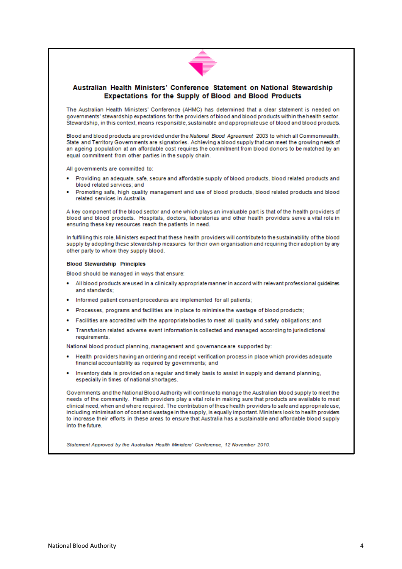

#### Australian Health Ministers' Conference Statement on National Stewardship Expectations for the Supply of Blood and Blood Products

The Australian Health Ministers' Conference (AHMC) has determined that a clear statement is needed on governments' stewardship expectations for the providers of blood and blood products within the health sector. Stewardship, in this context, means responsible, sustainable and appropriate use of blood and blood products.

Blood and blood products are provided under the National Blood Agreement 2003 to which all Commonwealth, State and Territory Governments are signatories. Achieving a blood supply that can meet the growing needs of an ageing population at an affordable cost requires the commitment from blood donors to be matched by an equal commitment from other parties in the supply chain.

All governments are committed to:

- Providing an adequate, safe, secure and affordable supply of blood products, blood related products and blood related services: and
- Promoting safe, high quality management and use of blood products, blood related products and blood related services in Australia

A key component of the blood sector and one which plays an invaluable part is that of the health providers of blood and blood products. Hospitals, doctors, laboratories and other health providers serve a vital role in ensuring these key resources reach the patients in need.

In fulfilling this role. Ministers expect that these health providers will contribute to the sustainability of the blood supply by adopting these stewardship measures for their own organisation and requiring their adoption by any other party to whom they supply blood.

#### **Blood Stewardship Principles**

Blood should be managed in ways that ensure:

- All blood products are used in a clinically appropriate manner in accord with relevant professional guidelines and standards:
- Informed patient consent procedures are implemented for all patients;
- Processes, programs and facilities are in place to minimise the wastage of blood products;
- Facilities are accredited with the appropriate bodies to meet all quality and safety obligations; and
- Transfusion related adverse event information is collected and managed according to jurisdictional requirements.

National blood product planning, management and governance are supported by:

- Health providers having an ordering and receipt verification process in place which provides adequate financial accountability as required by governments; and
- . Inventory data is provided on a regular and timely basis to assist in supply and demand planning, especially in times of national shortages.

Governments and the National Blood Authority will continue to manage the Australian blood supply to meet the needs of the community. Health providers play a vital role in making sure that products are available to meet clinical need, when and where required. The contribution of these health providers to safe and appropriate use, including minimisation of cost and wastage in the supply, is equally important. Ministers look to health providers to increase their efforts in these areas to ensure that Australia has a sustainable and affordable blood supply into the future

Statement Approved by the Australian Health Ministers' Conference, 12 November 2010.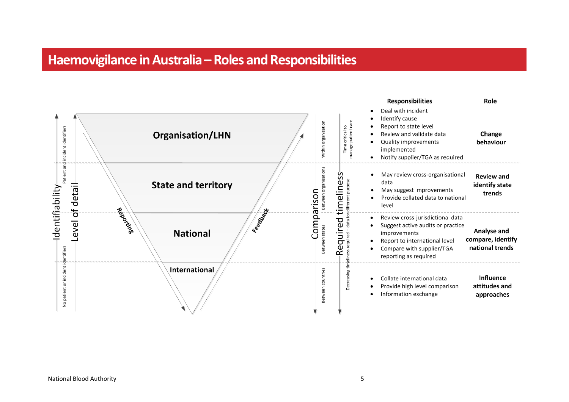## **Haemovigilance in Australia –Roles and Responsibilities**

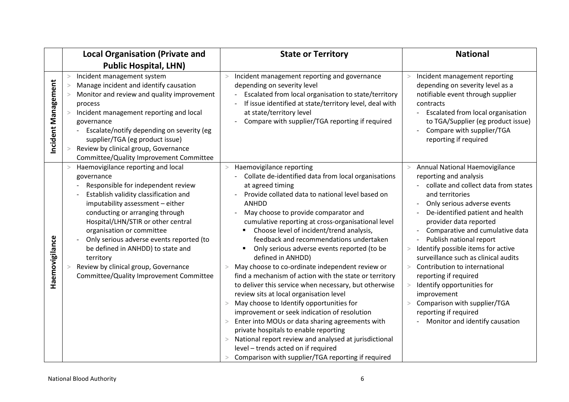|                     | <b>Local Organisation (Private and</b>                                                                                                                                                                                                                                                                                                                                                                                                                     | <b>State or Territory</b>                                                                                                                                                                                                                                                                                                                                                                                                                                                                                                                                                                                                                                                                                                                                                                                                                                                                                                                                                                                           | <b>National</b>                                                                                                                                                                                                                                                                                                                                                                                                                                                                                                                                                                                       |
|---------------------|------------------------------------------------------------------------------------------------------------------------------------------------------------------------------------------------------------------------------------------------------------------------------------------------------------------------------------------------------------------------------------------------------------------------------------------------------------|---------------------------------------------------------------------------------------------------------------------------------------------------------------------------------------------------------------------------------------------------------------------------------------------------------------------------------------------------------------------------------------------------------------------------------------------------------------------------------------------------------------------------------------------------------------------------------------------------------------------------------------------------------------------------------------------------------------------------------------------------------------------------------------------------------------------------------------------------------------------------------------------------------------------------------------------------------------------------------------------------------------------|-------------------------------------------------------------------------------------------------------------------------------------------------------------------------------------------------------------------------------------------------------------------------------------------------------------------------------------------------------------------------------------------------------------------------------------------------------------------------------------------------------------------------------------------------------------------------------------------------------|
|                     | <b>Public Hospital, LHN)</b>                                                                                                                                                                                                                                                                                                                                                                                                                               |                                                                                                                                                                                                                                                                                                                                                                                                                                                                                                                                                                                                                                                                                                                                                                                                                                                                                                                                                                                                                     |                                                                                                                                                                                                                                                                                                                                                                                                                                                                                                                                                                                                       |
| Incident Management | Incident management system<br>$\geq$<br>Manage incident and identify causation<br>Monitor and review and quality improvement<br>process<br>Incident management reporting and local<br>governance<br>Escalate/notify depending on severity (eg<br>supplier/TGA (eg product issue)<br>Review by clinical group, Governance<br>Committee/Quality Improvement Committee                                                                                        | Incident management reporting and governance<br>depending on severity level<br>Escalated from local organisation to state/territory<br>If issue identified at state/territory level, deal with<br>at state/territory level<br>Compare with supplier/TGA reporting if required                                                                                                                                                                                                                                                                                                                                                                                                                                                                                                                                                                                                                                                                                                                                       | Incident management reporting<br>><br>depending on severity level as a<br>notifiable event through supplier<br>contracts<br>Escalated from local organisation<br>to TGA/Supplier (eg product issue)<br>Compare with supplier/TGA<br>reporting if required                                                                                                                                                                                                                                                                                                                                             |
| Haemovigilance      | Haemovigilance reporting and local<br>governance<br>Responsible for independent review<br>Establish validity classification and<br>imputability assessment - either<br>conducting or arranging through<br>Hospital/LHN/STIR or other central<br>organisation or committee<br>Only serious adverse events reported (to<br>be defined in ANHDD) to state and<br>territory<br>Review by clinical group, Governance<br>Committee/Quality Improvement Committee | Haemovigilance reporting<br>$\geq$<br>Collate de-identified data from local organisations<br>at agreed timing<br>Provide collated data to national level based on<br><b>ANHDD</b><br>May choose to provide comparator and<br>cumulative reporting at cross-organisational level<br>Choose level of incident/trend analysis,<br>feedback and recommendations undertaken<br>Only serious adverse events reported (to be<br>defined in ANHDD)<br>May choose to co-ordinate independent review or<br>find a mechanism of action with the state or territory<br>to deliver this service when necessary, but otherwise<br>review sits at local organisation level<br>May choose to Identify opportunities for<br>improvement or seek indication of resolution<br>Enter into MOUs or data sharing agreements with<br>private hospitals to enable reporting<br>National report review and analysed at jurisdictional<br>$\geq$<br>level - trends acted on if required<br>Comparison with supplier/TGA reporting if required | Annual National Haemovigilance<br>$\geq$<br>reporting and analysis<br>collate and collect data from states<br>and territories<br>Only serious adverse events<br>De-identified patient and health<br>provider data reported<br>Comparative and cumulative data<br>Publish national report<br>Identify possible items for active<br>$\!>$<br>surveillance such as clinical audits<br>Contribution to international<br>$\geq$<br>reporting if required<br>Identify opportunities for<br>$\geq$<br>improvement<br>Comparison with supplier/TGA<br>reporting if required<br>Monitor and identify causation |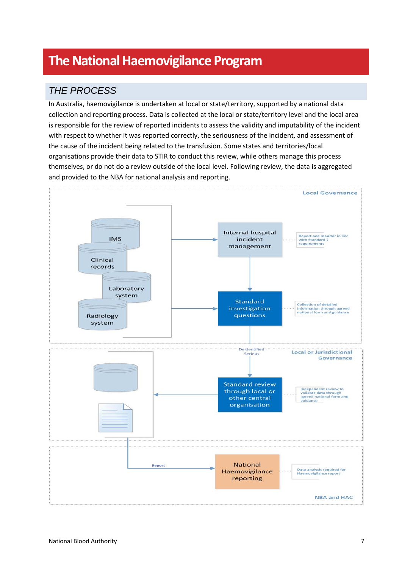# **The National Haemovigilance Program**

## *THE PROCESS*

In Australia, haemovigilance is undertaken at local or state/territory, supported by a national data collection and reporting process. Data is collected at the local or state/territory level and the local area is responsible for the review of reported incidents to assess the validity and imputability of the incident with respect to whether it was reported correctly, the seriousness of the incident, and assessment of the cause of the incident being related to the transfusion. Some states and territories/local organisations provide their data to STIR to conduct this review, while others manage this process themselves, or do not do a review outside of the local level. Following review, the data is aggregated and provided to the NBA for national analysis and reporting.

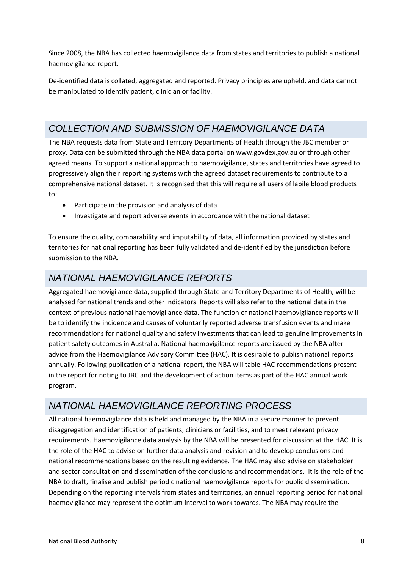Since 2008, the NBA has collected haemovigilance data from states and territories to publish a national haemovigilance report.

De-identified data is collated, aggregated and reported. Privacy principles are upheld, and data cannot be manipulated to identify patient, clinician or facility.

### *COLLECTION AND SUBMISSION OF HAEMOVIGILANCE DATA*

The NBA requests data from State and Territory Departments of Health through the JBC member or proxy. Data can be submitted through the NBA data portal o[n www.govdex.gov.au](http://www.govdex.gov.au/) or through other agreed means. To support a national approach to haemovigilance, states and territories have agreed to progressively align their reporting systems with the agreed dataset requirements to contribute to a comprehensive national dataset. It is recognised that this will require all users of labile blood products to:

- Participate in the provision and analysis of data
- Investigate and report adverse events in accordance with the national dataset

To ensure the quality, comparability and imputability of data, all information provided by states and territories for national reporting has been fully validated and de-identified by the jurisdiction before submission to the NBA.

### *NATIONAL HAEMOVIGILANCE REPORTS*

Aggregated haemovigilance data, supplied through State and Territory Departments of Health, will be analysed for national trends and other indicators. Reports will also refer to the national data in the context of previous national haemovigilance data. The function of national haemovigilance reports will be to identify the incidence and causes of voluntarily reported adverse transfusion events and make recommendations for national quality and safety investments that can lead to genuine improvements in patient safety outcomes in Australia. National haemovigilance reports are issued by the NBA after advice from the Haemovigilance Advisory Committee (HAC). It is desirable to publish national reports annually. Following publication of a national report, the NBA will table HAC recommendations present in the report for noting to JBC and the development of action items as part of the HAC annual work program.

### *NATIONAL HAEMOVIGILANCE REPORTING PROCESS*

All national haemovigilance data is held and managed by the NBA in a secure manner to prevent disaggregation and identification of patients, clinicians or facilities, and to meet relevant privacy requirements. Haemovigilance data analysis by the NBA will be presented for discussion at the HAC. It is the role of the HAC to advise on further data analysis and revision and to develop conclusions and national recommendations based on the resulting evidence. The HAC may also advise on stakeholder and sector consultation and dissemination of the conclusions and recommendations. It is the role of the NBA to draft, finalise and publish periodic national haemovigilance reports for public dissemination. Depending on the reporting intervals from states and territories, an annual reporting period for national haemovigilance may represent the optimum interval to work towards. The NBA may require the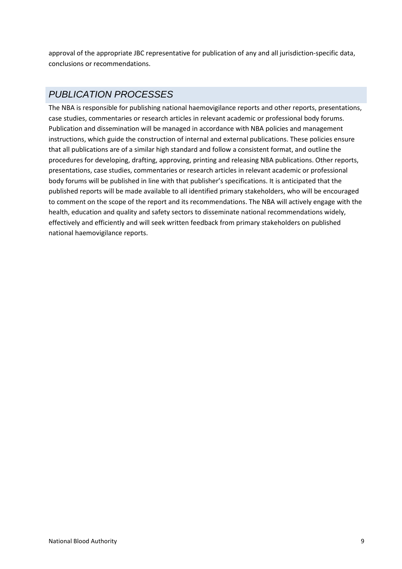approval of the appropriate JBC representative for publication of any and all jurisdiction-specific data, conclusions or recommendations.

### *PUBLICATION PROCESSES*

The NBA is responsible for publishing national haemovigilance reports and other reports, presentations, case studies, commentaries or research articles in relevant academic or professional body forums. Publication and dissemination will be managed in accordance with NBA policies and management instructions, which guide the construction of internal and external publications. These policies ensure that all publications are of a similar high standard and follow a consistent format, and outline the procedures for developing, drafting, approving, printing and releasing NBA publications. Other reports, presentations, case studies, commentaries or research articles in relevant academic or professional body forums will be published in line with that publisher's specifications. It is anticipated that the published reports will be made available to all identified primary stakeholders, who will be encouraged to comment on the scope of the report and its recommendations. The NBA will actively engage with the health, education and quality and safety sectors to disseminate national recommendations widely, effectively and efficiently and will seek written feedback from primary stakeholders on published national haemovigilance reports.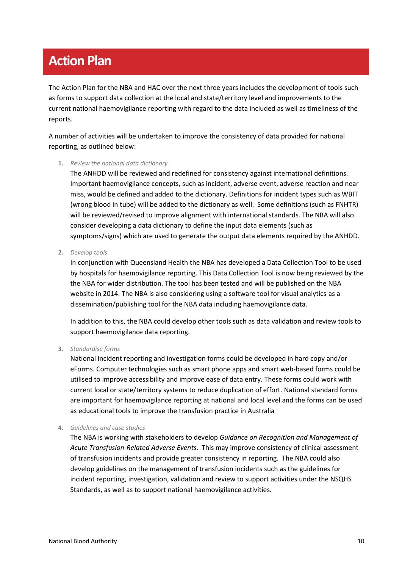# **Action Plan**

The Action Plan for the NBA and HAC over the next three years includes the development of tools such as forms to support data collection at the local and state/territory level and improvements to the current national haemovigilance reporting with regard to the data included as well as timeliness of the reports.

A number of activities will be undertaken to improve the consistency of data provided for national reporting, as outlined below:

**1.** *Review the national data dictionary*

The ANHDD will be reviewed and redefined for consistency against international definitions. Important haemovigilance concepts, such as incident, adverse event, adverse reaction and near miss, would be defined and added to the dictionary. Definitions for incident types such as WBIT (wrong blood in tube) will be added to the dictionary as well. Some definitions (such as FNHTR) will be reviewed/revised to improve alignment with international standards. The NBA will also consider developing a data dictionary to define the input data elements (such as symptoms/signs) which are used to generate the output data elements required by the ANHDD.

**2.** *Develop tools*

In conjunction with Queensland Health the NBA has developed a Data Collection Tool to be used by hospitals for haemovigilance reporting. This Data Collection Tool is now being reviewed by the the NBA for wider distribution. The tool has been tested and will be published on the NBA website in 2014. The NBA is also considering using a software tool for visual analytics as a dissemination/publishing tool for the NBA data including haemovigilance data.

In addition to this, the NBA could develop other tools such as data validation and review tools to support haemovigilance data reporting.

#### **3.** *Standardise forms*

National incident reporting and investigation forms could be developed in hard copy and/or eForms. Computer technologies such as smart phone apps and smart web-based forms could be utilised to improve accessibility and improve ease of data entry. These forms could work with current local or state/territory systems to reduce duplication of effort. National standard forms are important for haemovigilance reporting at national and local level and the forms can be used as educational tools to improve the transfusion practice in Australia

#### **4.** *Guidelines and case studies*

The NBA is working with stakeholders to develop *Guidance on Recognition and Management of Acute Transfusion-Related Adverse Events*. This may improve consistency of clinical assessment of transfusion incidents and provide greater consistency in reporting. The NBA could also develop guidelines on the management of transfusion incidents such as the guidelines for incident reporting, investigation, validation and review to support activities under the NSQHS Standards, as well as to support national haemovigilance activities.